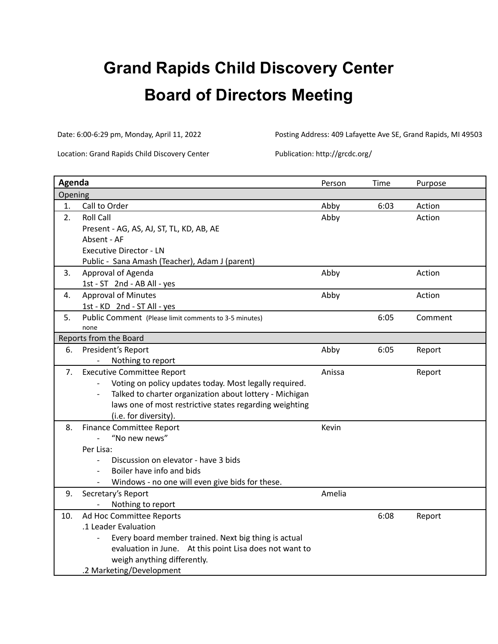# **Grand Rapids Child Discovery Center Board of Directors Meeting**

Date: 6:00-6:29 pm, Monday, April 11, 2022 Posting Address: 409 Lafayette Ave SE, Grand Rapids, MI 49503

Location: Grand Rapids Child Discovery Center Publication: http://grcdc.org/

| Agenda  |                                                                                     | Person | Time | Purpose |
|---------|-------------------------------------------------------------------------------------|--------|------|---------|
| Opening |                                                                                     |        |      |         |
| 1.      | Call to Order                                                                       | Abby   | 6:03 | Action  |
| 2.      | <b>Roll Call</b>                                                                    | Abby   |      | Action  |
|         | Present - AG, AS, AJ, ST, TL, KD, AB, AE                                            |        |      |         |
|         | Absent - AF                                                                         |        |      |         |
|         | <b>Executive Director - LN</b>                                                      |        |      |         |
|         | Public - Sana Amash (Teacher), Adam J (parent)                                      |        |      |         |
| 3.      | Approval of Agenda                                                                  | Abby   |      | Action  |
|         | 1st - ST 2nd - AB All - yes                                                         |        |      |         |
| 4.      | <b>Approval of Minutes</b>                                                          | Abby   |      | Action  |
|         | 1st - KD 2nd - ST All - yes                                                         |        |      |         |
| 5.      | Public Comment (Please limit comments to 3-5 minutes)                               |        | 6:05 | Comment |
|         | none                                                                                |        |      |         |
|         | Reports from the Board                                                              |        |      |         |
| 6.      | President's Report                                                                  | Abby   | 6:05 | Report  |
|         | Nothing to report                                                                   |        |      |         |
| 7.      | <b>Executive Committee Report</b>                                                   | Anissa |      | Report  |
|         | Voting on policy updates today. Most legally required.                              |        |      |         |
|         | Talked to charter organization about lottery - Michigan<br>$\overline{\phantom{a}}$ |        |      |         |
|         | laws one of most restrictive states regarding weighting                             |        |      |         |
|         | (i.e. for diversity).                                                               |        |      |         |
| 8.      | <b>Finance Committee Report</b>                                                     | Kevin  |      |         |
|         | "No new news"                                                                       |        |      |         |
|         | Per Lisa:                                                                           |        |      |         |
|         | Discussion on elevator - have 3 bids                                                |        |      |         |
|         | Boiler have info and bids                                                           |        |      |         |
|         | Windows - no one will even give bids for these.                                     |        |      |         |
| 9.      | Secretary's Report                                                                  | Amelia |      |         |
|         | Nothing to report                                                                   |        |      |         |
| 10.     | Ad Hoc Committee Reports                                                            |        | 6:08 | Report  |
|         | .1 Leader Evaluation                                                                |        |      |         |
|         | Every board member trained. Next big thing is actual                                |        |      |         |
|         | evaluation in June. At this point Lisa does not want to                             |        |      |         |
|         | weigh anything differently.                                                         |        |      |         |
|         | .2 Marketing/Development                                                            |        |      |         |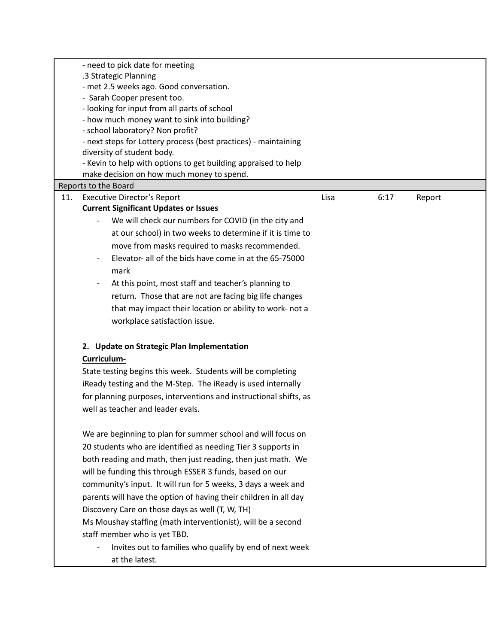|     | - need to pick date for meeting                                   |      |      |        |  |
|-----|-------------------------------------------------------------------|------|------|--------|--|
|     | .3 Strategic Planning                                             |      |      |        |  |
|     | - met 2.5 weeks ago. Good conversation.                           |      |      |        |  |
|     | - Sarah Cooper present too.                                       |      |      |        |  |
|     | - looking for input from all parts of school                      |      |      |        |  |
|     | - how much money want to sink into building?                      |      |      |        |  |
|     | - school laboratory? Non profit?                                  |      |      |        |  |
|     | - next steps for Lottery process (best practices) - maintaining   |      |      |        |  |
|     | diversity of student body.                                        |      |      |        |  |
|     | - Kevin to help with options to get building appraised to help    |      |      |        |  |
|     | make decision on how much money to spend.                         |      |      |        |  |
|     | Reports to the Board                                              |      |      |        |  |
| 11. | <b>Executive Director's Report</b>                                | Lisa | 6:17 | Report |  |
|     | <b>Current Significant Updates or Issues</b>                      |      |      |        |  |
|     | We will check our numbers for COVID (in the city and              |      |      |        |  |
|     | at our school) in two weeks to determine if it is time to         |      |      |        |  |
|     | move from masks required to masks recommended.                    |      |      |        |  |
|     | Elevator- all of the bids have come in at the 65-75000            |      |      |        |  |
|     | mark                                                              |      |      |        |  |
|     | At this point, most staff and teacher's planning to               |      |      |        |  |
|     | return. Those that are not are facing big life changes            |      |      |        |  |
|     | that may impact their location or ability to work- not a          |      |      |        |  |
|     |                                                                   |      |      |        |  |
|     | workplace satisfaction issue.                                     |      |      |        |  |
|     |                                                                   |      |      |        |  |
|     | 2. Update on Strategic Plan Implementation                        |      |      |        |  |
|     | Curriculum-                                                       |      |      |        |  |
|     | State testing begins this week. Students will be completing       |      |      |        |  |
|     | iReady testing and the M-Step. The iReady is used internally      |      |      |        |  |
|     | for planning purposes, interventions and instructional shifts, as |      |      |        |  |
|     | well as teacher and leader evals.                                 |      |      |        |  |
|     |                                                                   |      |      |        |  |
|     | We are beginning to plan for summer school and will focus on      |      |      |        |  |
|     | 20 students who are identified as needing Tier 3 supports in      |      |      |        |  |
|     | both reading and math, then just reading, then just math. We      |      |      |        |  |
|     | will be funding this through ESSER 3 funds, based on our          |      |      |        |  |
|     |                                                                   |      |      |        |  |
|     | community's input. It will run for 5 weeks, 3 days a week and     |      |      |        |  |
|     | parents will have the option of having their children in all day  |      |      |        |  |
|     | Discovery Care on those days as well (T, W, TH)                   |      |      |        |  |
|     | Ms Moushay staffing (math interventionist), will be a second      |      |      |        |  |
|     | staff member who is yet TBD.                                      |      |      |        |  |
|     |                                                                   |      |      |        |  |
|     | Invites out to families who qualify by end of next week           |      |      |        |  |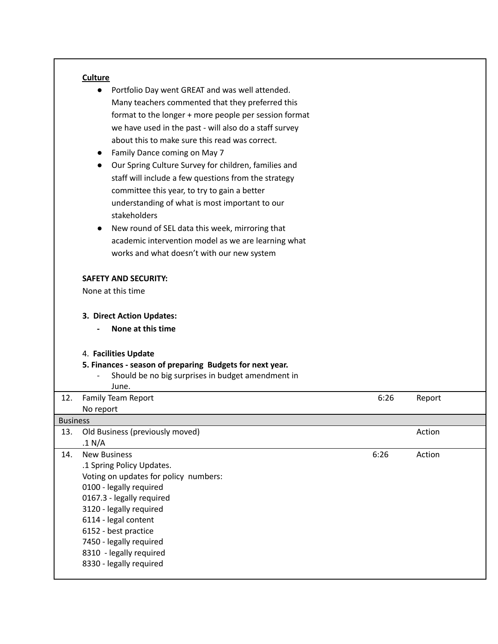# **Culture**

|                 | Portfolio Day went GREAT and was well attended.                   |      |        |  |
|-----------------|-------------------------------------------------------------------|------|--------|--|
|                 | Many teachers commented that they preferred this                  |      |        |  |
|                 | format to the longer + more people per session format             |      |        |  |
|                 | we have used in the past - will also do a staff survey            |      |        |  |
|                 | about this to make sure this read was correct.                    |      |        |  |
|                 | Family Dance coming on May 7                                      |      |        |  |
|                 | Our Spring Culture Survey for children, families and<br>$\bullet$ |      |        |  |
|                 | staff will include a few questions from the strategy              |      |        |  |
|                 | committee this year, to try to gain a better                      |      |        |  |
|                 | understanding of what is most important to our                    |      |        |  |
|                 | stakeholders                                                      |      |        |  |
|                 | New round of SEL data this week, mirroring that<br>$\bullet$      |      |        |  |
|                 |                                                                   |      |        |  |
|                 | academic intervention model as we are learning what               |      |        |  |
|                 | works and what doesn't with our new system                        |      |        |  |
|                 | <b>SAFETY AND SECURITY:</b>                                       |      |        |  |
|                 | None at this time                                                 |      |        |  |
|                 |                                                                   |      |        |  |
|                 | 3. Direct Action Updates:                                         |      |        |  |
|                 | None at this time                                                 |      |        |  |
|                 |                                                                   |      |        |  |
|                 | 4. Facilities Update                                              |      |        |  |
|                 |                                                                   |      |        |  |
|                 | 5. Finances - season of preparing Budgets for next year.          |      |        |  |
|                 | Should be no big surprises in budget amendment in                 |      |        |  |
|                 | June.                                                             |      |        |  |
| 12.             | Family Team Report                                                | 6:26 | Report |  |
|                 | No report                                                         |      |        |  |
| <b>Business</b> |                                                                   |      |        |  |
| 13.             | Old Business (previously moved)                                   |      | Action |  |
|                 | .1 N/A                                                            |      |        |  |
| 14.             | <b>New Business</b>                                               | 6:26 | Action |  |
|                 | .1 Spring Policy Updates.                                         |      |        |  |
|                 | Voting on updates for policy numbers:<br>0100 - legally required  |      |        |  |
|                 | 0167.3 - legally required                                         |      |        |  |
|                 | 3120 - legally required                                           |      |        |  |
|                 | 6114 - legal content                                              |      |        |  |
|                 | 6152 - best practice                                              |      |        |  |
|                 | 7450 - legally required                                           |      |        |  |
|                 | 8310 - legally required<br>8330 - legally required                |      |        |  |